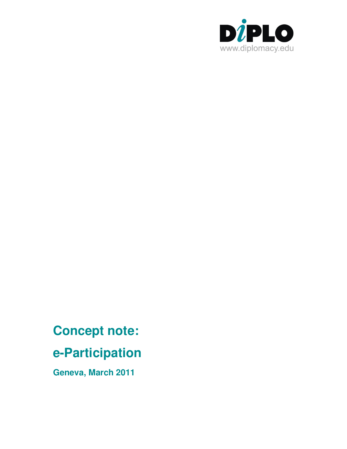

# **Concept note:**

## **e-Participation**

**Geneva, March 2011**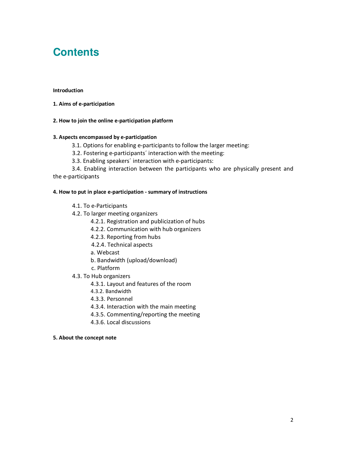### **Contents**

#### Introduction

1. Aims of e-participation

#### 2. How to join the online e-participation platform

#### 3. Aspects encompassed by e-participation

- 3.1. Options for enabling e-participants to follow the larger meeting:
- 3.2. Fostering e-participants' interaction with the meeting:
- 3.3. Enabling speakers' interaction with e-participants:

3.4. Enabling interaction between the participants who are physically present and the e-participants

#### 4. How to put in place e-participation - summary of instructions

- 4.1. To e-Participants
- 4.2. To larger meeting organizers
	- 4.2.1. Registration and publicization of hubs
	- 4.2.2. Communication with hub organizers
	- 4.2.3. Reporting from hubs
	- 4.2.4. Technical aspects
	- a. Webcast
	- b. Bandwidth (upload/download)
	- c. Platform
- 4.3. To Hub organizers
	- 4.3.1. Layout and features of the room
	- 4.3.2. Bandwidth
	- 4.3.3. Personnel
	- 4.3.4. Interaction with the main meeting
	- 4.3.5. Commenting/reporting the meeting
	- 4.3.6. Local discussions

#### 5. About the concept note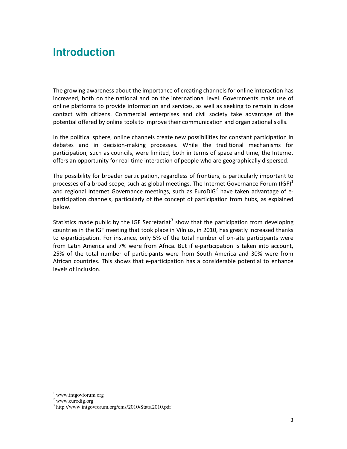The growing awareness about the importance of creating channels for online interaction has increased, both on the national and on the international level. Governments make use of online platforms to provide information and services, as well as seeking to remain in close contact with citizens. Commercial enterprises and civil society take advantage of the potential offered by online tools to improve their communication and organizational skills.

In the political sphere, online channels create new possibilities for constant participation in debates and in decision-making processes. While the traditional mechanisms for participation, such as councils, were limited, both in terms of space and time, the Internet offers an opportunity for real-time interaction of people who are geographically dispersed.

The possibility for broader participation, regardless of frontiers, is particularly important to processes of a broad scope, such as global meetings. The Internet Governance Forum (IGF)<sup>1</sup> and regional Internet Governance meetings, such as EuroDIG<sup>2</sup> have taken advantage of eparticipation channels, particularly of the concept of participation from hubs, as explained below.

**Introduction**<br>
The growing awareness about the importance of creating channels for online interaction has conceased. both on the mation and on the international educed. Governments make use of online platforms to provide Statistics made public by the IGF Secretariat<sup>3</sup> show that the participation from developing countries in the IGF meeting that took place in Vilnius, in 2010, has greatly increased thanks to e-participation. For instance, only 5% of the total number of on-site participants were from Latin America and 7% were from Africa. But if e-participation is taken into account, 25% of the total number of participants were from South America and 30% were from African countries. This shows that e-participation has a considerable potential to enhance levels of inclusion.

www.intgovforum.org

<sup>2</sup> www.eurodig.org

<sup>3</sup> http://www.intgovforum.org/cms/2010/Stats.2010.pdf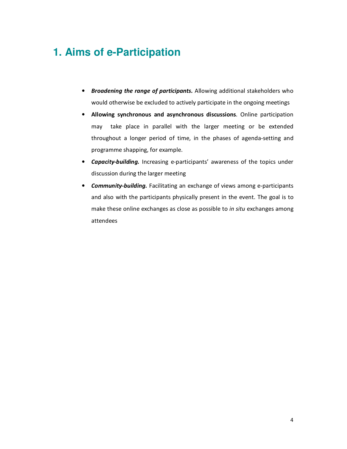### 1. Aims of e-Participation

- Broadening the range of participants. Allowing additional stakeholders who would otherwise be excluded to actively participate in the ongoing meetings
- Allowing synchronous and asynchronous discussions. Online participation may take place in parallel with the larger meeting or be extended throughout a longer period of time, in the phases of agenda-setting and programme shapping, for example.
- Capacity-building. Increasing e-participants' awareness of the topics under discussion during the larger meeting
- Community-building. Facilitating an exchange of views among e-participants and also with the participants physically present in the event. The goal is to make these online exchanges as close as possible to in situ exchanges among attendees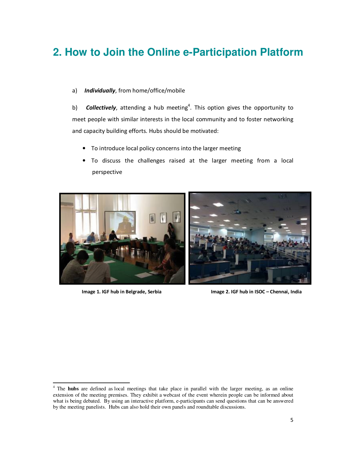### **2. How to Join the Online e-Participation Platform**

a) Individually, from home/office/mobile

b) **Collectively**, attending a hub meeting<sup>4</sup>. This option gives the opportunity to meet people with similar interests in the local community and to foster networking and capacity building efforts. Hubs should be motivated:

- To introduce local policy concerns into the larger meeting
- To discuss the challenges raised at the larger meeting from a local perspective



Image 1. IGF hub in Belgrade, Serbi a In

mage 2. IGF hub in ISOC - Chennai, India

<sup>&</sup>lt;sup>4</sup> The **hubs** are defined as local meetings that take place in parallel with the larger meeting, as an online extension of the meeting premises. They exhibit a webcast of the event wherein people can be informed about what is being debated. By using an interactive platform, e-participants can send questions that can be answered by the meeting panelists. Hubs can also hold their own panels and roundtable discussions.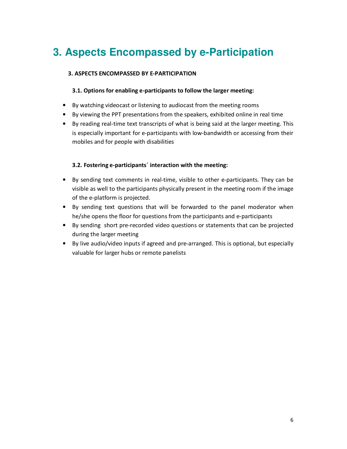### 3. Aspects Encompassed by e-Participation

#### 3. ASPECTS ENCOMPASSED BY E-PARTICIPATION

#### 3.1. Options for enabling e-participants to follow the larger meeting:

- By watching videocast or listening to audiocast from the meeting rooms
- By viewing the PPT presentations from the speakers, exhibited online in real time
- By reading real-time text transcripts of what is being said at the larger meeting. This is especially important for e-participants with low-bandwidth or accessing from their mobiles and for people with disabilities

#### 3.2. Fostering e-participants' interaction with the meeting:

- By sending text comments in real-time, visible to other e-participants. They can be visible as well to the participants physically present in the meeting room if the image of the e-platform is projected.
- By sending text questions that will be forwarded to the panel moderator when he/she opens the floor for questions from the participants and e-participants
- By sending short pre-recorded video questions or statements that can be projected during the larger meeting
- By live audio/video inputs if agreed and pre-arranged. This is optional, but especially valuable for larger hubs or remote panelists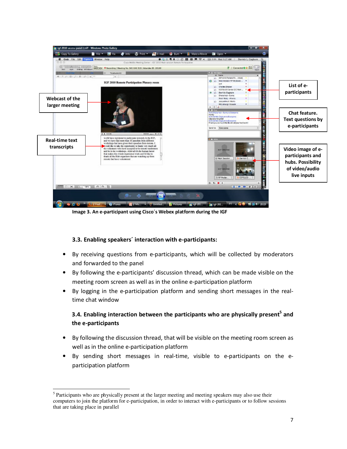

Image 3. An e-participant using Cisco's Webex platform during the IGF

#### 3.3. Enabling speakers' interaction with e-participants:

- By receiving questions from e-participants, which will be collected by moderators and forwarded to the panel
- By following the e-participants' discussion thread, which can be made visible on the meeting room screen as well as in the online e-participation platforn
- By logging in the e-participation platform and sending short messages in the realtime chat window

### 3.4. Enabling interaction between the participants who are physically present<sup>5</sup> and the e-participants

- By following the discussion thread, that will be visible on the meeting room screen as well as in the online e-participation platform
- By sending short messages in real-time, visible to e-participants on the eparticipation platform

 <sup>5</sup> Participants who are physically present at the larger meeting and meeting speakers may also use their computers to join the platform for e-participation, in order to interact with e-participants or to follow sessions that are taking place in parallel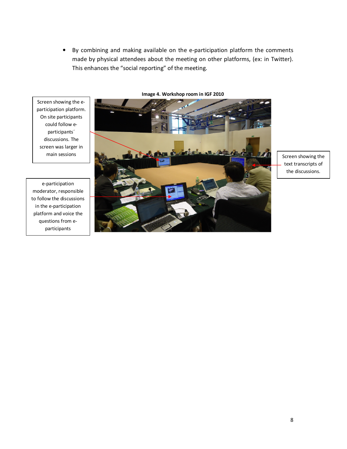By combining and making available on the e-participation platform the comments  $\bullet$ made by physical attendees about the meeting on other platforms, (ex: in Twitter). This enhances the "social reporting" of the meeting.

Screen showing the eparticipation platform. On site participants could follow eparticipants' discussions. The screen was larger in main sessions

e-participation moderator, responsible to follow the discussions in the e-participation platform and voice the questions from eparticipants

Image 4. Workshop room in IGF 2010



Screen showing the text transcripts of the discussions.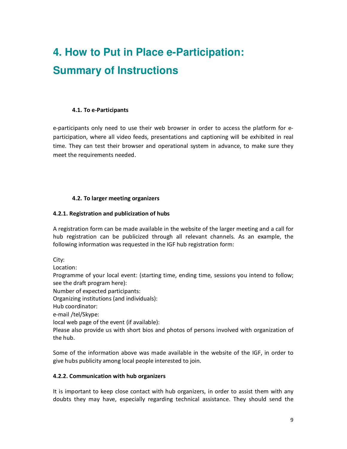### 4. How to Put in Place e-Participation: **Summary of Instructions**

#### 4.1. To e-Participants

e-participants only need to use their web browser in order to access the platform for eparticipation, where all video feeds, presentations and captioning will be exhibited in real time. They can test their browser and operational system in advance, to make sure they meet the requirements needed.

#### 4.2. To larger meeting organizers

#### 4.2.1. Registration and publicization of hubs

A registration form can be made available in the website of the larger meeting and a call for hub registration can be publicized through all relevant channels. As an example, the following information was requested in the IGF hub registration form:

City:

Location:

Programme of your local event: (starting time, ending time, sessions you intend to follow; see the draft program here):

Number of expected participants:

Organizing institutions (and individuals):

Hub coordinator:

e-mail /tel/Skype:

local web page of the event (if available):

Please also provide us with short bios and photos of persons involved with organization of the hub.

Some of the information above was made available in the website of the IGF, in order to give hubs publicity among local people interested to join.

#### 4.2.2. Communication with hub organizers

It is important to keep close contact with hub organizers, in order to assist them with any doubts they may have, especially regarding technical assistance. They should send the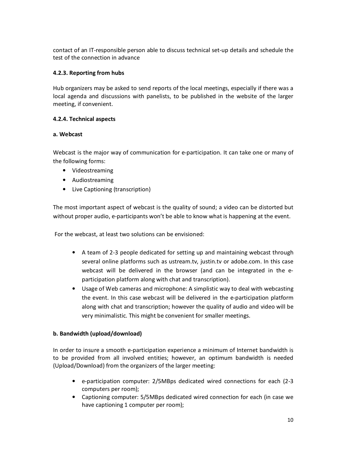contact of an IT-responsible person able to discuss technical set-up details and schedule the test of the connection in advance

#### 4.2.3. Reporting from hubs

Hub organizers may be asked to send reports of the local meetings, especially if there was a local agenda and discussions with panelists, to be published in the website of the larger meeting, if convenient.

#### 4.2.4. Technical aspects

#### a. Webcast

Webcast is the major way of communication for e-participation. It can take one or many of the following forms:

- Videostreaming
- Audiostreaming
- Live Captioning (transcription)

The most important aspect of webcast is the quality of sound; a video can be distorted but without proper audio, e-participants won't be able to know what is happening at the event.

For the webcast, at least two solutions can be envisioned:

- A team of 2-3 people dedicated for setting up and maintaining webcast through several online platforms such as ustream.tv, justin.tv or adobe.com. In this case webcast will be delivered in the browser (and can be integrated in the eparticipation platform along with chat and transcription).
- Usage of Web cameras and microphone: A simplistic way to deal with webcasting the event. In this case webcast will be delivered in the e-participation platform along with chat and transcription; however the quality of audio and video will be very minimalistic. This might be convenient for smaller meetings.

#### b. Bandwidth (upload/download)

In order to insure a smooth e-participation experience a minimum of Internet bandwidth is to be provided from all involved entities; however, an optimum bandwidth is needed (Upload/Download) from the organizers of the larger meeting:

- e-participation computer: 2/5MBps dedicated wired connections for each (2-3 computers per room);
- Captioning computer: 5/5MBps dedicated wired connection for each (in case we have captioning 1 computer per room);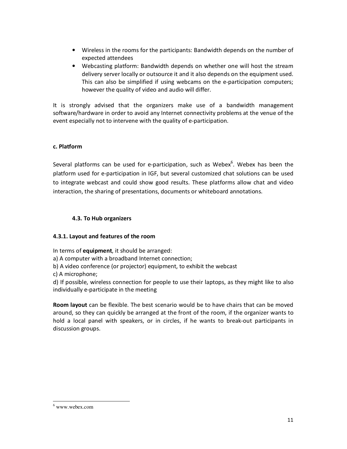- Wireless in the rooms for the participants: Bandwidth depends on the number of expected attendees
- Webcasting platform: Bandwidth depends on whether one will host the stream delivery server locally or outsource it and it also depends on the equipment used. This can also be simplified if using webcams on the e-participation computers; however the quality of video and audio will differ.

It is strongly advised that the organizers make use of a bandwidth management software/hardware in order to avoid any Internet connectivity problems at the venue of the event especially not to intervene with the quality of e-participation.

#### c. Platform

Several platforms can be used for e-participation, such as Webex<sup>6</sup>. Webex has been the platform used for e-participation in IGF, but several customized chat solutions can be used to integrate webcast and could show good results. These platforms allow chat and video interaction, the sharing of presentations, documents or whiteboard annotations.

#### 4.3. To Hub organizers

#### 4.3.1. Layout and features of the room

In terms of **equipment**, it should be arranged:

- a) A computer with a broadband Internet connection;
- b) A video conference (or projector) equipment, to exhibit the webcast

c) A microphone;

d) If possible, wireless connection for people to use their laptops, as they might like to also individually e-participate in the meeting

Room layout can be flexible. The best scenario would be to have chairs that can be moved around, so they can quickly be arranged at the front of the room, if the organizer wants to hold a local panel with speakers, or in circles, if he wants to break-out participants in discussion groups.

 $6$  www.webex.com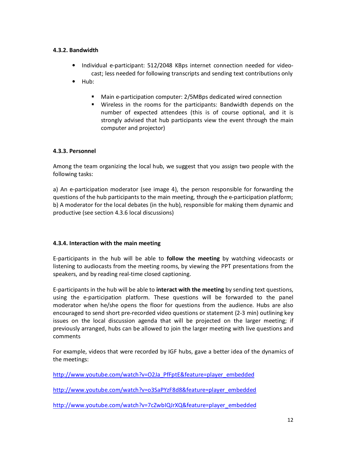#### 4.3.2. Bandwidth

- Individual e-participant: 512/2048 KBps internet connection needed for videocast; less needed for following transcripts and sending text contributions only
- Hub:
	- Main e-participation computer: 2/5MBps dedicated wired connection
	- Wireless in the rooms for the participants: Bandwidth depends on the number of expected attendees (this is of course optional, and it is strongly advised that hub participants view the event through the main computer and projector)

#### 4.3.3. Personnel

Among the team organizing the local hub, we suggest that you assign two people with the following tasks:

a) An e-participation moderator (see image 4), the person responsible for forwarding the questions of the hub participants to the main meeting, through the e-participation platform; b) A moderator for the local debates (in the hub), responsible for making them dynamic and productive (see section 4.3.6 local discussions)

#### 4.3.4. Interaction with the main meeting

E-participants in the hub will be able to follow the meeting by watching videocasts or listening to audiocasts from the meeting rooms, by viewing the PPT presentations from the speakers, and by reading real-time closed captioning.

E-participants in the hub will be able to interact with the meeting by sending text questions, using the e-participation platform. These questions will be forwarded to the panel moderator when he/she opens the floor for questions from the audience. Hubs are also encouraged to send short pre-recorded video questions or statement (2-3 min) outlining key issues on the local discussion agenda that will be projected on the larger meeting; if previously arranged, hubs can be allowed to join the larger meeting with live questions and comments

For example, videos that were recorded by IGF hubs, gave a better idea of the dynamics of the meetings:

http://www.youtube.com/watch?v=O2Ja PfFptE&feature=player embedded

http://www.youtube.com/watch?v=o3SaPYzF8d8&feature=player embedded

http://www.youtube.com/watch?v=7cZwbIQJrXQ&feature=player\_embedded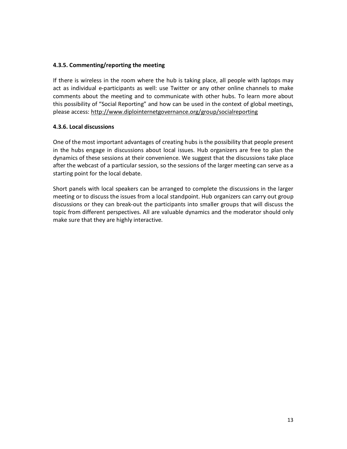#### 4.3.5. Commenting/reporting the meeting

If there is wireless in the room where the hub is taking place, all people with laptops may act as individual e-participants as well: use Twitter or any other online channels to make comments about the meeting and to communicate with other hubs. To learn more about this possibility of "Social Reporting" and how can be used in the context of global meetings, please access: http://www.diplointernetgovernance.org/group/socialreporting

#### 4.3.6. Local discussions

One of the most important advantages of creating hubs is the possibility that people present in the hubs engage in discussions about local issues. Hub organizers are free to plan the dynamics of these sessions at their convenience. We suggest that the discussions take place after the webcast of a particular session, so the sessions of the larger meeting can serve as a starting point for the local debate.

Short panels with local speakers can be arranged to complete the discussions in the larger meeting or to discuss the issues from a local standpoint. Hub organizers can carry out group discussions or they can break-out the participants into smaller groups that will discuss the topic from different perspectives. All are valuable dynamics and the moderator should only make sure that they are highly interactive.